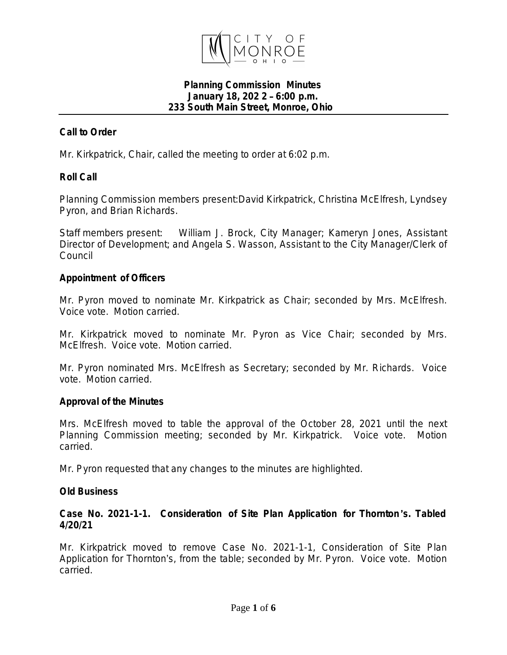

#### **Planning Commission Minutes January 18, 202 2** – **6:00 p.m. 233 South Main Street, Monroe, Ohio**

# *Call to Order*

Mr. Kirkpatrick, Chair, called the meeting to order at 6:02 p.m.

# *Roll Call*

Planning Commission members present:David Kirkpatrick, Christina McElfresh, Lyndsey Pyron, and Brian Richards.

Staff members present: William J. Brock, City Manager; Kameryn Jones, Assistant Director of Development; and Angela S. Wasson, Assistant to the City Manager/Clerk of Council

#### *Appointment of Officers*

Mr. Pyron moved to nominate Mr. Kirkpatrick as Chair; seconded by Mrs. McElfresh. Voice vote. Motion carried.

Mr. Kirkpatrick moved to nominate Mr. Pyron as Vice Chair; seconded by Mrs. McElfresh. Voice vote. Motion carried.

Mr. Pyron nominated Mrs. McElfresh as Secretary; seconded by Mr. Richards. Voice vote. Motion carried.

### *Approval of the Minutes*

Mrs. McElfresh moved to table the approval of the October 28, 2021 until the next Planning Commission meeting; seconded by Mr. Kirkpatrick. Voice vote. Motion carried.

Mr. Pyron requested that any changes to the minutes are highlighted.

### *Old Business*

### **Case No. 2021-1-1. Consideration of Site Plan Application for Thornton** '**s. Tabled 4/20/21**

Mr. Kirkpatrick moved to remove Case No. 2021-1-1, Consideration of Site Plan Application for Thornton's, from the table; seconded by Mr. Pyron. Voice vote. Motion carried.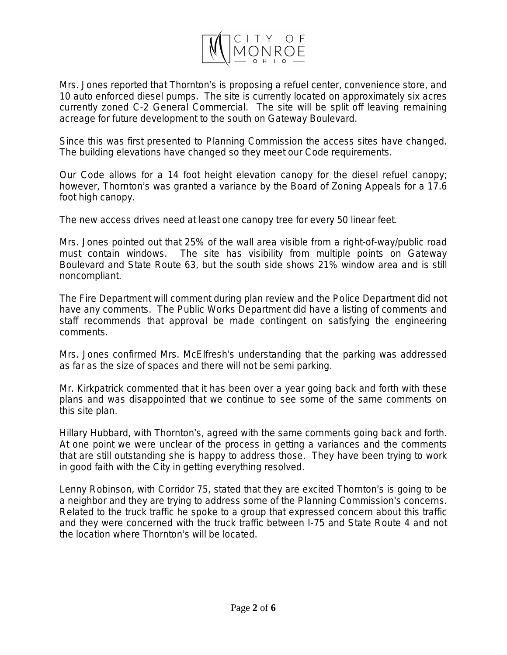

Mrs. Jones reported that Thornton's is proposing a refuel center, convenience store, and 10 auto enforced diesel pumps. The site is currently located on approximately six acres currently zoned C-2 General Commercial. The site will be split off leaving remaining acreage for future development to the south on Gateway Boulevard.

Since this was first presented to Planning Commission the access sites have changed. The building elevations have changed so they meet our Code requirements.

Our Code allows for a 14 foot height elevation canopy for the diesel refuel canopy; however, Thornton's was granted a variance by the Board of Zoning Appeals for a 17.6 foot high canopy.

The new access drives need at least one canopy tree for every 50 linear feet.

Mrs. Jones pointed out that 25% of the wall area visible from a right-of-way/public road must contain windows. The site has visibility from multiple points on Gateway Boulevard and State Route 63, but the south side shows 21% window area and is still noncompliant.

The Fire Department will comment during plan review and the Police Department did not have any comments. The Public Works Department did have a listing of comments and staff recommends that approval be made contingent on satisfying the engineering comments.

Mrs. Jones confirmed Mrs. McElfresh's understanding that the parking was addressed as far as the size of spaces and there will not be semi parking.

Mr. Kirkpatrick commented that it has been over a year going back and forth with these plans and was disappointed that we continue to see some of the same comments on this site plan.

Hillary Hubbard, with Thornton's, agreed with the same comments going back and forth. At one point we were unclear of the process in getting a variances and the comments that are still outstanding she is happy to address those. They have been trying to work in good faith with the City in getting everything resolved.

Lenny Robinson, with Corridor 75, stated that they are excited Thornton's is going to be a neighbor and they are trying to address some of the Planning Commission's concerns. Related to the truck traffic he spoke to a group that expressed concern about this traffic and they were concerned with the truck traffic between I-75 and State Route 4 and not the location where Thornton's will be located.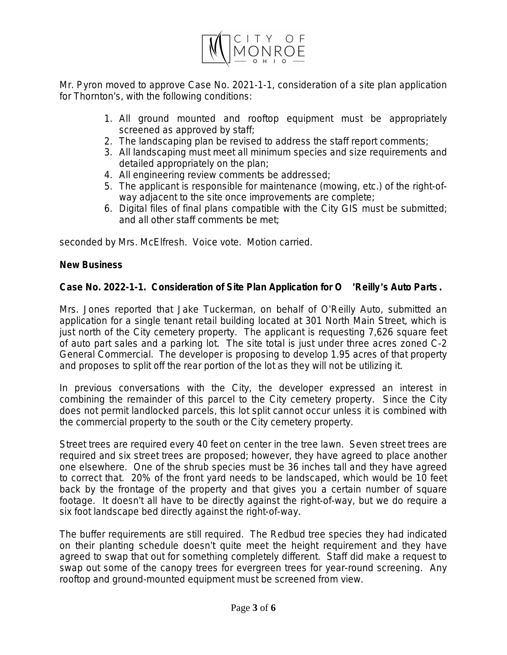

Mr. Pyron moved to approve Case No. 2021-1-1, consideration of a site plan application for Thornton's, with the following conditions:

- 1. All ground mounted and rooftop equipment must be appropriately screened as approved by staff;
- 2. The landscaping plan be revised to address the staff report comments;
- 3. All landscaping must meet all minimum species and size requirements and detailed appropriately on the plan;
- 4. All engineering review comments be addressed;
- 5. The applicant is responsible for maintenance (mowing, etc.) of the right-ofway adjacent to the site once improvements are complete;
- 6. Digital files of final plans compatible with the City GIS must be submitted; and all other staff comments be met;

seconded by Mrs. McElfresh. Voice vote. Motion carried.

# *New Business*

# **Case No. 2022-1-1. Consideration of Site Plan Application for O** '**Reilly**'**s Auto Parts .**

Mrs. Jones reported that Jake Tuckerman, on behalf of O'Reilly Auto, submitted an application for a single tenant retail building located at 301 North Main Street, which is just north of the City cemetery property. The applicant is requesting 7,626 square feet of auto part sales and a parking lot. The site total is just under three acres zoned C-2 General Commercial. The developer is proposing to develop 1.95 acres of that property and proposes to split off the rear portion of the lot as they will not be utilizing it.

In previous conversations with the City, the developer expressed an interest in combining the remainder of this parcel to the City cemetery property. Since the City does not permit landlocked parcels, this lot split cannot occur unless it is combined with the commercial property to the south or the City cemetery property.

Street trees are required every 40 feet on center in the tree lawn. Seven street trees are required and six street trees are proposed; however, they have agreed to place another one elsewhere. One of the shrub species must be 36 inches tall and they have agreed to correct that. 20% of the front yard needs to be landscaped, which would be 10 feet back by the frontage of the property and that gives you a certain number of square footage. It doesn't all have to be directly against the right-of-way, but we do require a six foot landscape bed directly against the right-of-way.

The buffer requirements are still required. The Redbud tree species they had indicated on their planting schedule doesn't quite meet the height requirement and they have agreed to swap that out for something completely different. Staff did make a request to swap out some of the canopy trees for evergreen trees for year-round screening. Any rooftop and ground-mounted equipment must be screened from view.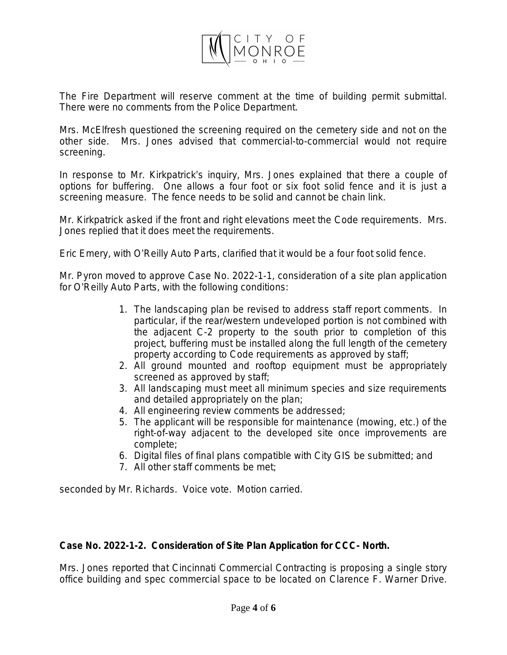

The Fire Department will reserve comment at the time of building permit submittal. There were no comments from the Police Department.

Mrs. McElfresh questioned the screening required on the cemetery side and not on the other side. Mrs. Jones advised that commercial-to-commercial would not require screening.

In response to Mr. Kirkpatrick's inquiry, Mrs. Jones explained that there a couple of options for buffering. One allows a four foot or six foot solid fence and it is just a screening measure. The fence needs to be solid and cannot be chain link.

Mr. Kirkpatrick asked if the front and right elevations meet the Code requirements. Mrs. Jones replied that it does meet the requirements.

Eric Emery, with O'Reilly Auto Parts, clarified that it would be a four foot solid fence.

Mr. Pyron moved to approve Case No. 2022-1-1, consideration of a site plan application for O'Reilly Auto Parts, with the following conditions:

- 1. The landscaping plan be revised to address staff report comments. In particular, if the rear/western undeveloped portion is not combined with the adjacent C-2 property to the south prior to completion of this project, buffering must be installed along the full length of the cemetery property according to Code requirements as approved by staff;
- 2. All ground mounted and rooftop equipment must be appropriately screened as approved by staff;
- 3. All landscaping must meet all minimum species and size requirements and detailed appropriately on the plan;
- 4. All engineering review comments be addressed;
- 5. The applicant will be responsible for maintenance (mowing, etc.) of the right-of-way adjacent to the developed site once improvements are complete;
- 6. Digital files of final plans compatible with City GIS be submitted; and
- 7. All other staff comments be met;

seconded by Mr. Richards. Voice vote. Motion carried.

### **Case No. 2022-1-2. Consideration of Site Plan Application for CCC- North.**

Mrs. Jones reported that Cincinnati Commercial Contracting is proposing a single story office building and spec commercial space to be located on Clarence F. Warner Drive.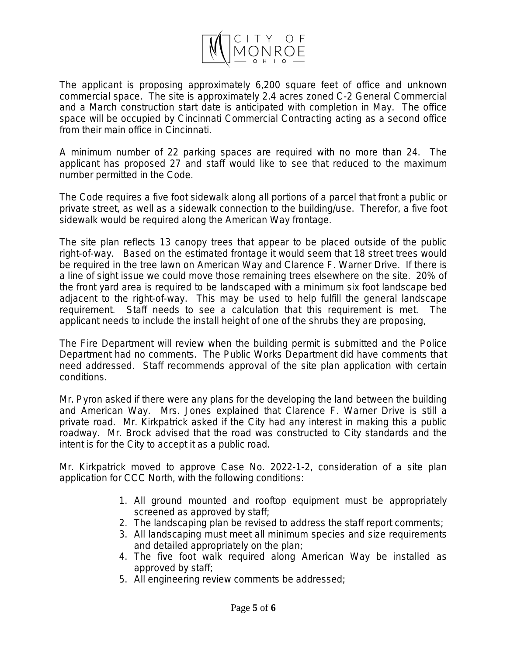

The applicant is proposing approximately 6,200 square feet of office and unknown commercial space. The site is approximately 2.4 acres zoned C-2 General Commercial and a March construction start date is anticipated with completion in May. The office space will be occupied by Cincinnati Commercial Contracting acting as a second office from their main office in Cincinnati.

A minimum number of 22 parking spaces are required with no more than 24. The applicant has proposed 27 and staff would like to see that reduced to the maximum number permitted in the Code.

The Code requires a five foot sidewalk along all portions of a parcel that front a public or private street, as well as a sidewalk connection to the building/use. Therefor, a five foot sidewalk would be required along the American Way frontage.

The site plan reflects 13 canopy trees that appear to be placed outside of the public right-of-way. Based on the estimated frontage it would seem that 18 street trees would be required in the tree lawn on American Way and Clarence F. Warner Drive. If there is a line of sight issue we could move those remaining trees elsewhere on the site. 20% of the front yard area is required to be landscaped with a minimum six foot landscape bed adjacent to the right-of-way. This may be used to help fulfill the general landscape requirement. Staff needs to see a calculation that this requirement is met. The applicant needs to include the install height of one of the shrubs they are proposing,

The Fire Department will review when the building permit is submitted and the Police Department had no comments. The Public Works Department did have comments that need addressed. Staff recommends approval of the site plan application with certain conditions.

Mr. Pyron asked if there were any plans for the developing the land between the building and American Way. Mrs. Jones explained that Clarence F. Warner Drive is still a private road. Mr. Kirkpatrick asked if the City had any interest in making this a public roadway. Mr. Brock advised that the road was constructed to City standards and the intent is for the City to accept it as a public road.

Mr. Kirkpatrick moved to approve Case No. 2022-1-2, consideration of a site plan application for CCC North, with the following conditions:

- 1. All ground mounted and rooftop equipment must be appropriately screened as approved by staff;
- 2. The landscaping plan be revised to address the staff report comments;
- 3. All landscaping must meet all minimum species and size requirements and detailed appropriately on the plan;
- 4. The five foot walk required along American Way be installed as approved by staff;
- 5. All engineering review comments be addressed;